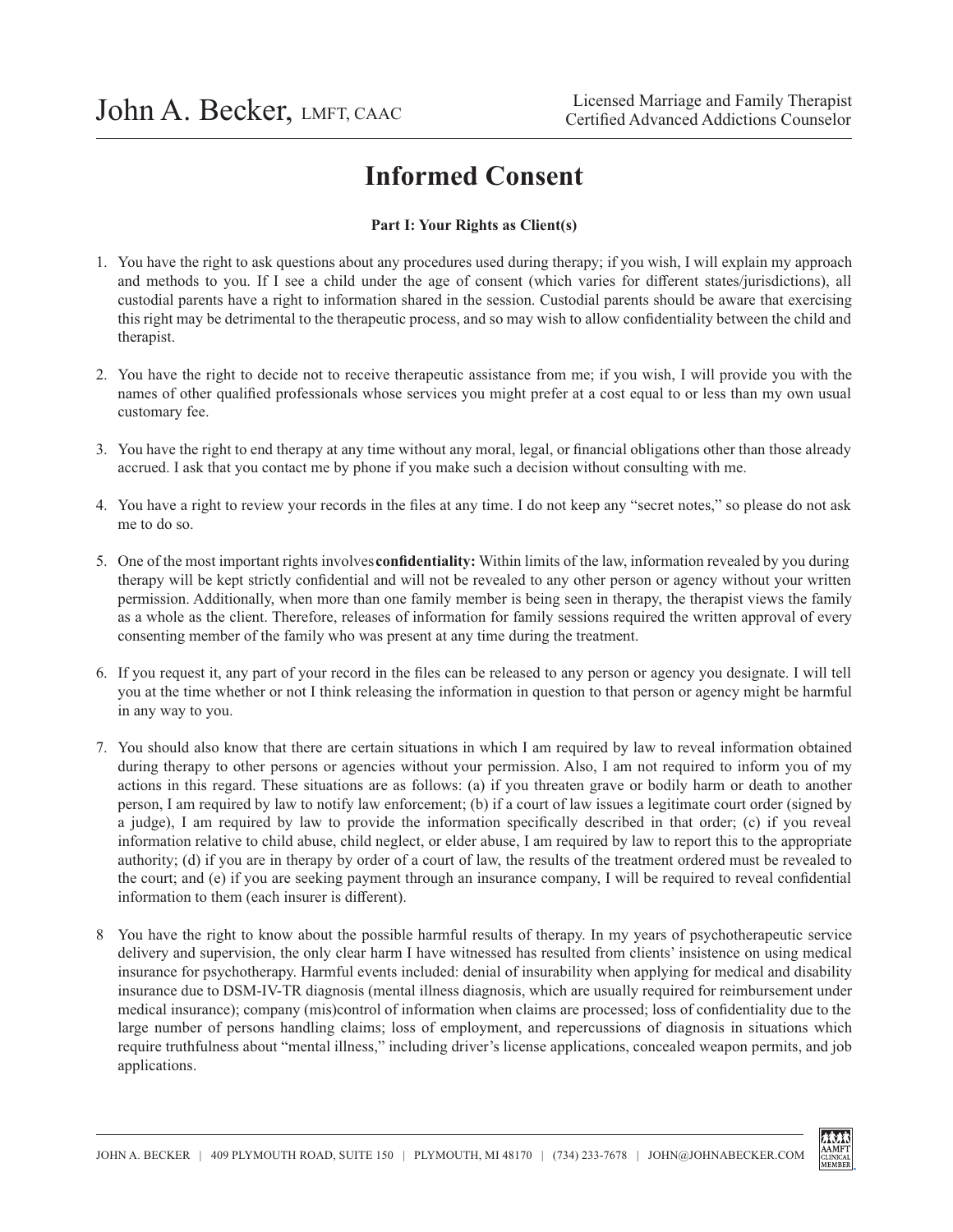## **Informed Consent**

## **Part I: Your Rights as Client(s)**

- 1. You have the right to ask questions about any procedures used during therapy; if you wish, I will explain my approach and methods to you. If I see a child under the age of consent (which varies for different states/jurisdictions), all custodial parents have a right to information shared in the session. Custodial parents should be aware that exercising this right may be detrimental to the therapeutic process, and so may wish to allow confidentiality between the child and therapist.
- 2. You have the right to decide not to receive therapeutic assistance from me; if you wish, I will provide you with the names of other qualified professionals whose services you might prefer at a cost equal to or less than my own usual customary fee.
- 3. You have the right to end therapy at any time without any moral, legal, or financial obligations other than those already accrued. I ask that you contact me by phone if you make such a decision without consulting with me.
- 4. You have a right to review your records in the files at any time. I do not keep any "secret notes," so please do not ask me to do so.
- 5. One of the most important rights involves **confidentiality:** Within limits of the law, information revealed by you during therapy will be kept strictly confidential and will not be revealed to any other person or agency without your written permission. Additionally, when more than one family member is being seen in therapy, the therapist views the family as a whole as the client. Therefore, releases of information for family sessions required the written approval of every consenting member of the family who was present at any time during the treatment.
- 6. If you request it, any part of your record in the files can be released to any person or agency you designate. I will tell you at the time whether or not I think releasing the information in question to that person or agency might be harmful in any way to you.
- 7. You should also know that there are certain situations in which I am required by law to reveal information obtained during therapy to other persons or agencies without your permission. Also, I am not required to inform you of my actions in this regard. These situations are as follows: (a) if you threaten grave or bodily harm or death to another person, I am required by law to notify law enforcement; (b) if a court of law issues a legitimate court order (signed by a judge), I am required by law to provide the information specifically described in that order; (c) if you reveal information relative to child abuse, child neglect, or elder abuse, I am required by law to report this to the appropriate authority; (d) if you are in therapy by order of a court of law, the results of the treatment ordered must be revealed to the court; and (e) if you are seeking payment through an insurance company, I will be required to reveal confidential information to them (each insurer is different).
- 8 You have the right to know about the possible harmful results of therapy. In my years of psychotherapeutic service delivery and supervision, the only clear harm I have witnessed has resulted from clients' insistence on using medical insurance for psychotherapy. Harmful events included: denial of insurability when applying for medical and disability insurance due to DSM-IV-TR diagnosis (mental illness diagnosis, which are usually required for reimbursement under medical insurance); company (mis)control of information when claims are processed; loss of confidentiality due to the large number of persons handling claims; loss of employment, and repercussions of diagnosis in situations which require truthfulness about "mental illness," including driver's license applications, concealed weapon permits, and job applications.